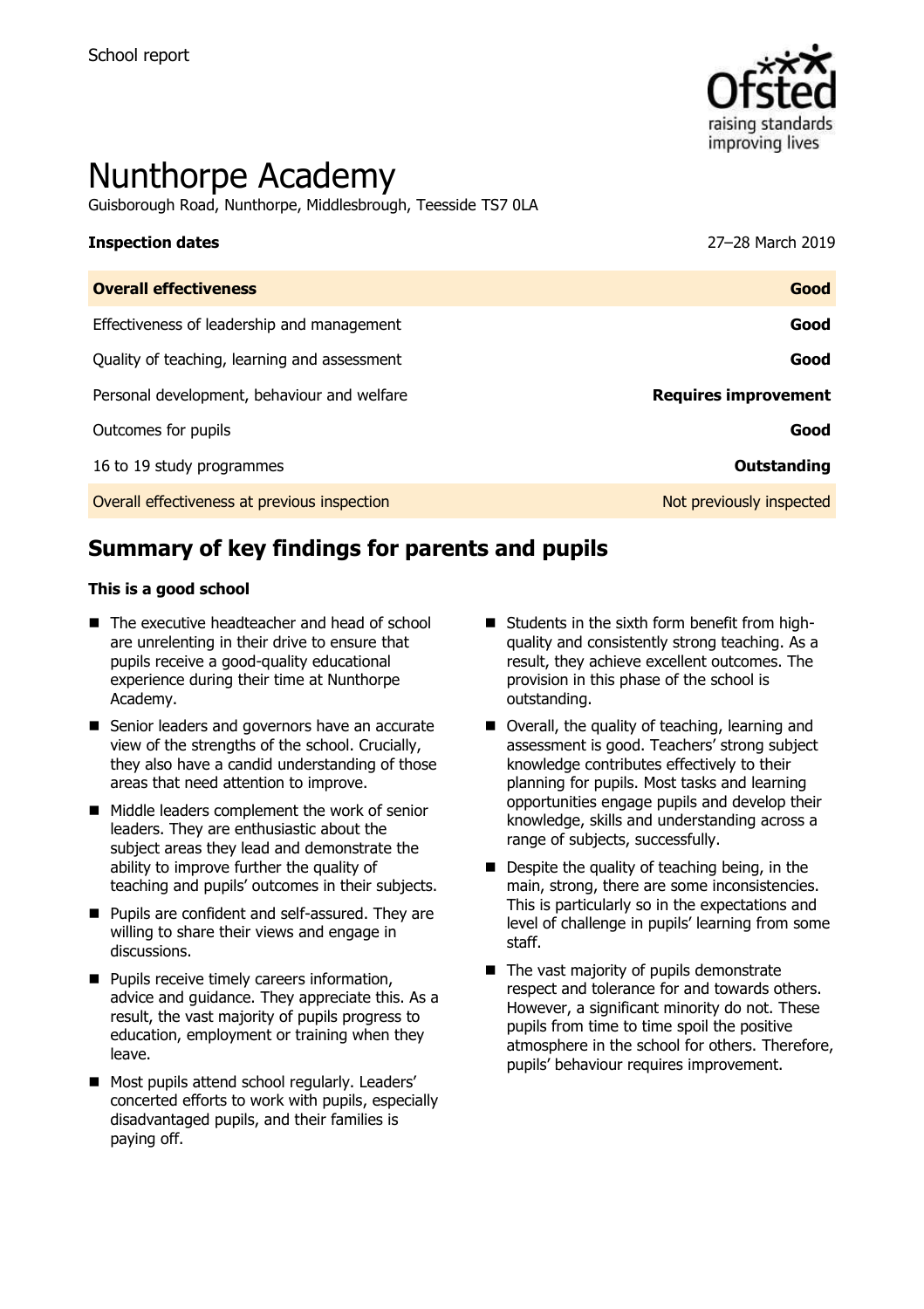

# Nunthorpe Academy

Guisborough Road, Nunthorpe, Middlesbrough, Teesside TS7 0LA

| Ouanell effectiveness   | $\sim$ $\sim$ $\sim$ $\sim$ |
|-------------------------|-----------------------------|
| <b>Inspection dates</b> | 27-28 March 2019            |
|                         |                             |

| <b>Overall effectiveness</b>                 | Good                        |
|----------------------------------------------|-----------------------------|
| Effectiveness of leadership and management   | Good                        |
| Quality of teaching, learning and assessment | Good                        |
| Personal development, behaviour and welfare  | <b>Requires improvement</b> |
| Outcomes for pupils                          | Good                        |
| 16 to 19 study programmes                    | Outstanding                 |
| Overall effectiveness at previous inspection | Not previously inspected    |

# **Summary of key findings for parents and pupils**

#### **This is a good school**

- The executive headteacher and head of school are unrelenting in their drive to ensure that pupils receive a good-quality educational experience during their time at Nunthorpe Academy.
- Senior leaders and governors have an accurate view of the strengths of the school. Crucially, they also have a candid understanding of those areas that need attention to improve.
- Middle leaders complement the work of senior leaders. They are enthusiastic about the subject areas they lead and demonstrate the ability to improve further the quality of teaching and pupils' outcomes in their subjects.
- Pupils are confident and self-assured. They are willing to share their views and engage in discussions.
- Pupils receive timely careers information, advice and guidance. They appreciate this. As a result, the vast majority of pupils progress to education, employment or training when they leave.
- Most pupils attend school regularly. Leaders' concerted efforts to work with pupils, especially disadvantaged pupils, and their families is paying off.
- Students in the sixth form benefit from highquality and consistently strong teaching. As a result, they achieve excellent outcomes. The provision in this phase of the school is outstanding.
- Overall, the quality of teaching, learning and assessment is good. Teachers' strong subject knowledge contributes effectively to their planning for pupils. Most tasks and learning opportunities engage pupils and develop their knowledge, skills and understanding across a range of subjects, successfully.
- $\blacksquare$  Despite the quality of teaching being, in the main, strong, there are some inconsistencies. This is particularly so in the expectations and level of challenge in pupils' learning from some staff.
- The vast majority of pupils demonstrate respect and tolerance for and towards others. However, a significant minority do not. These pupils from time to time spoil the positive atmosphere in the school for others. Therefore, pupils' behaviour requires improvement.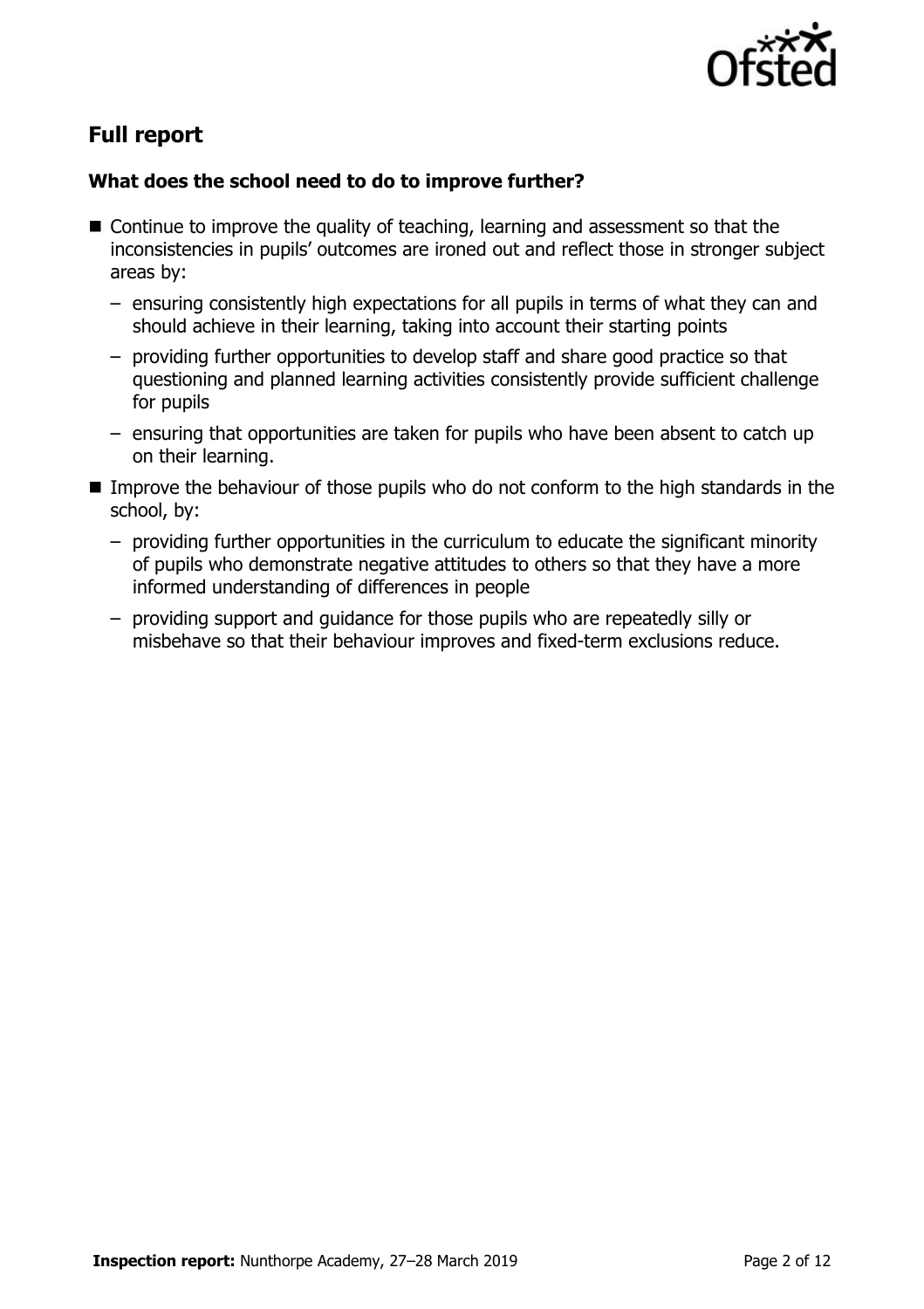

# **Full report**

### **What does the school need to do to improve further?**

- Continue to improve the quality of teaching, learning and assessment so that the inconsistencies in pupils' outcomes are ironed out and reflect those in stronger subject areas by:
	- ensuring consistently high expectations for all pupils in terms of what they can and should achieve in their learning, taking into account their starting points
	- providing further opportunities to develop staff and share good practice so that questioning and planned learning activities consistently provide sufficient challenge for pupils
	- ensuring that opportunities are taken for pupils who have been absent to catch up on their learning.
- Improve the behaviour of those pupils who do not conform to the high standards in the school, by:
	- providing further opportunities in the curriculum to educate the significant minority of pupils who demonstrate negative attitudes to others so that they have a more informed understanding of differences in people
	- providing support and guidance for those pupils who are repeatedly silly or misbehave so that their behaviour improves and fixed-term exclusions reduce.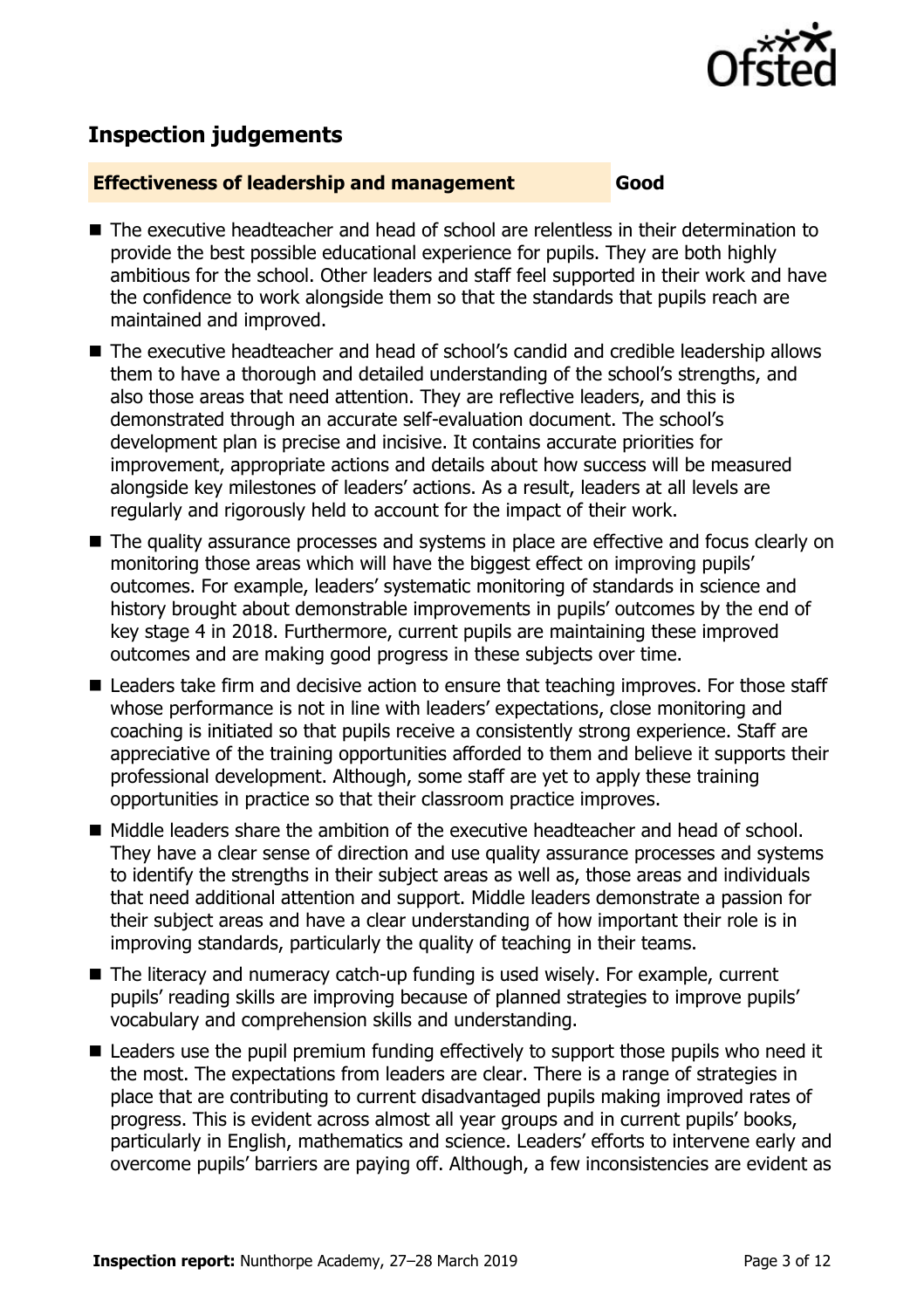

## **Inspection judgements**

#### **Effectiveness of leadership and management Good**

- The executive headteacher and head of school are relentless in their determination to provide the best possible educational experience for pupils. They are both highly ambitious for the school. Other leaders and staff feel supported in their work and have the confidence to work alongside them so that the standards that pupils reach are maintained and improved.
- The executive headteacher and head of school's candid and credible leadership allows them to have a thorough and detailed understanding of the school's strengths, and also those areas that need attention. They are reflective leaders, and this is demonstrated through an accurate self-evaluation document. The school's development plan is precise and incisive. It contains accurate priorities for improvement, appropriate actions and details about how success will be measured alongside key milestones of leaders' actions. As a result, leaders at all levels are regularly and rigorously held to account for the impact of their work.
- The quality assurance processes and systems in place are effective and focus clearly on monitoring those areas which will have the biggest effect on improving pupils' outcomes. For example, leaders' systematic monitoring of standards in science and history brought about demonstrable improvements in pupils' outcomes by the end of key stage 4 in 2018. Furthermore, current pupils are maintaining these improved outcomes and are making good progress in these subjects over time.
- Leaders take firm and decisive action to ensure that teaching improves. For those staff whose performance is not in line with leaders' expectations, close monitoring and coaching is initiated so that pupils receive a consistently strong experience. Staff are appreciative of the training opportunities afforded to them and believe it supports their professional development. Although, some staff are yet to apply these training opportunities in practice so that their classroom practice improves.
- Middle leaders share the ambition of the executive headteacher and head of school. They have a clear sense of direction and use quality assurance processes and systems to identify the strengths in their subject areas as well as, those areas and individuals that need additional attention and support. Middle leaders demonstrate a passion for their subject areas and have a clear understanding of how important their role is in improving standards, particularly the quality of teaching in their teams.
- The literacy and numeracy catch-up funding is used wisely. For example, current pupils' reading skills are improving because of planned strategies to improve pupils' vocabulary and comprehension skills and understanding.
- Leaders use the pupil premium funding effectively to support those pupils who need it the most. The expectations from leaders are clear. There is a range of strategies in place that are contributing to current disadvantaged pupils making improved rates of progress. This is evident across almost all year groups and in current pupils' books, particularly in English, mathematics and science. Leaders' efforts to intervene early and overcome pupils' barriers are paying off. Although, a few inconsistencies are evident as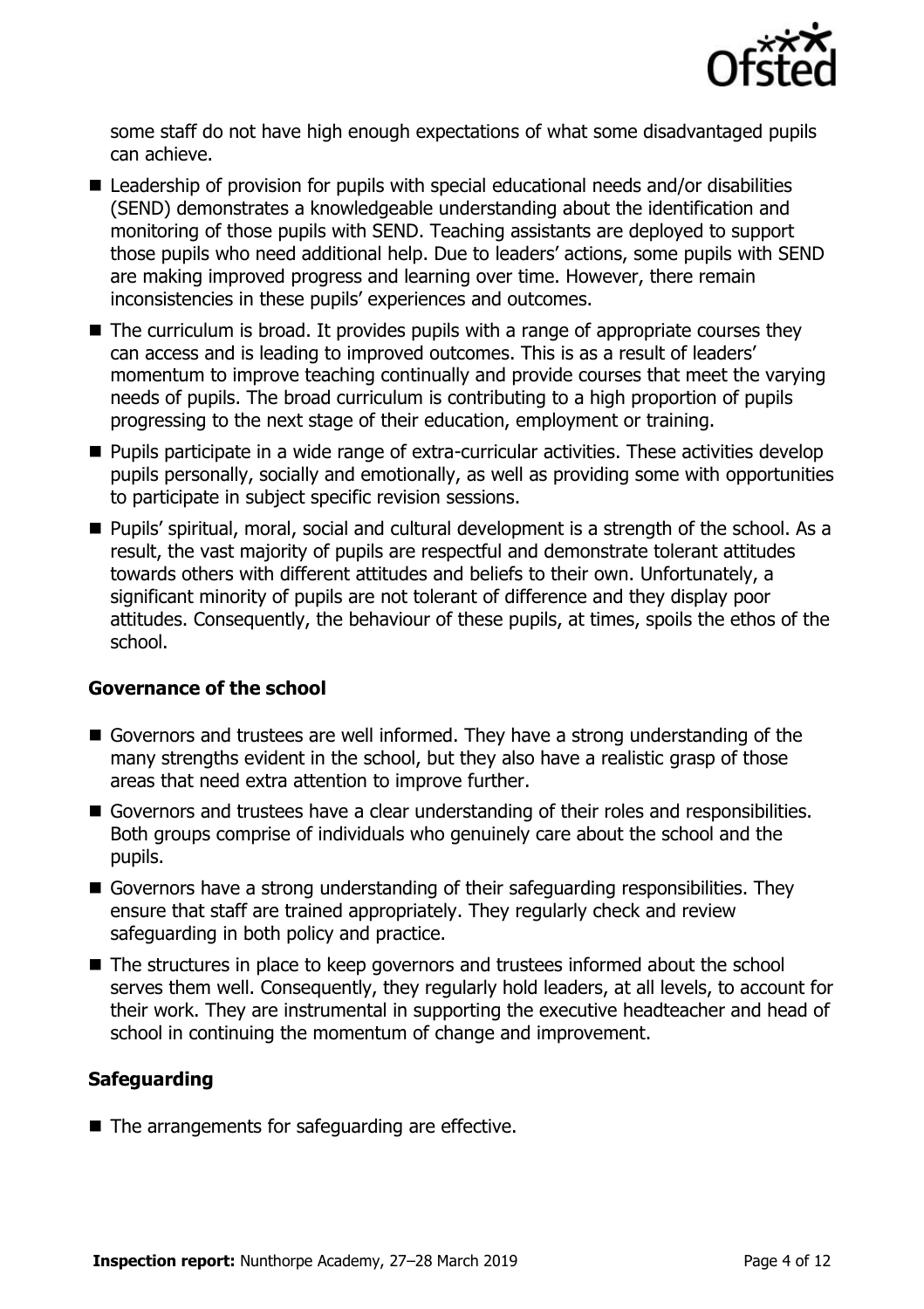

some staff do not have high enough expectations of what some disadvantaged pupils can achieve.

- Leadership of provision for pupils with special educational needs and/or disabilities (SEND) demonstrates a knowledgeable understanding about the identification and monitoring of those pupils with SEND. Teaching assistants are deployed to support those pupils who need additional help. Due to leaders' actions, some pupils with SEND are making improved progress and learning over time. However, there remain inconsistencies in these pupils' experiences and outcomes.
- $\blacksquare$  The curriculum is broad. It provides pupils with a range of appropriate courses they can access and is leading to improved outcomes. This is as a result of leaders' momentum to improve teaching continually and provide courses that meet the varying needs of pupils. The broad curriculum is contributing to a high proportion of pupils progressing to the next stage of their education, employment or training.
- Pupils participate in a wide range of extra-curricular activities. These activities develop pupils personally, socially and emotionally, as well as providing some with opportunities to participate in subject specific revision sessions.
- Pupils' spiritual, moral, social and cultural development is a strength of the school. As a result, the vast majority of pupils are respectful and demonstrate tolerant attitudes towards others with different attitudes and beliefs to their own. Unfortunately, a significant minority of pupils are not tolerant of difference and they display poor attitudes. Consequently, the behaviour of these pupils, at times, spoils the ethos of the school.

### **Governance of the school**

- Governors and trustees are well informed. They have a strong understanding of the many strengths evident in the school, but they also have a realistic grasp of those areas that need extra attention to improve further.
- Governors and trustees have a clear understanding of their roles and responsibilities. Both groups comprise of individuals who genuinely care about the school and the pupils.
- Governors have a strong understanding of their safeguarding responsibilities. They ensure that staff are trained appropriately. They regularly check and review safeguarding in both policy and practice.
- The structures in place to keep governors and trustees informed about the school serves them well. Consequently, they regularly hold leaders, at all levels, to account for their work. They are instrumental in supporting the executive headteacher and head of school in continuing the momentum of change and improvement.

### **Safeguarding**

■ The arrangements for safeguarding are effective.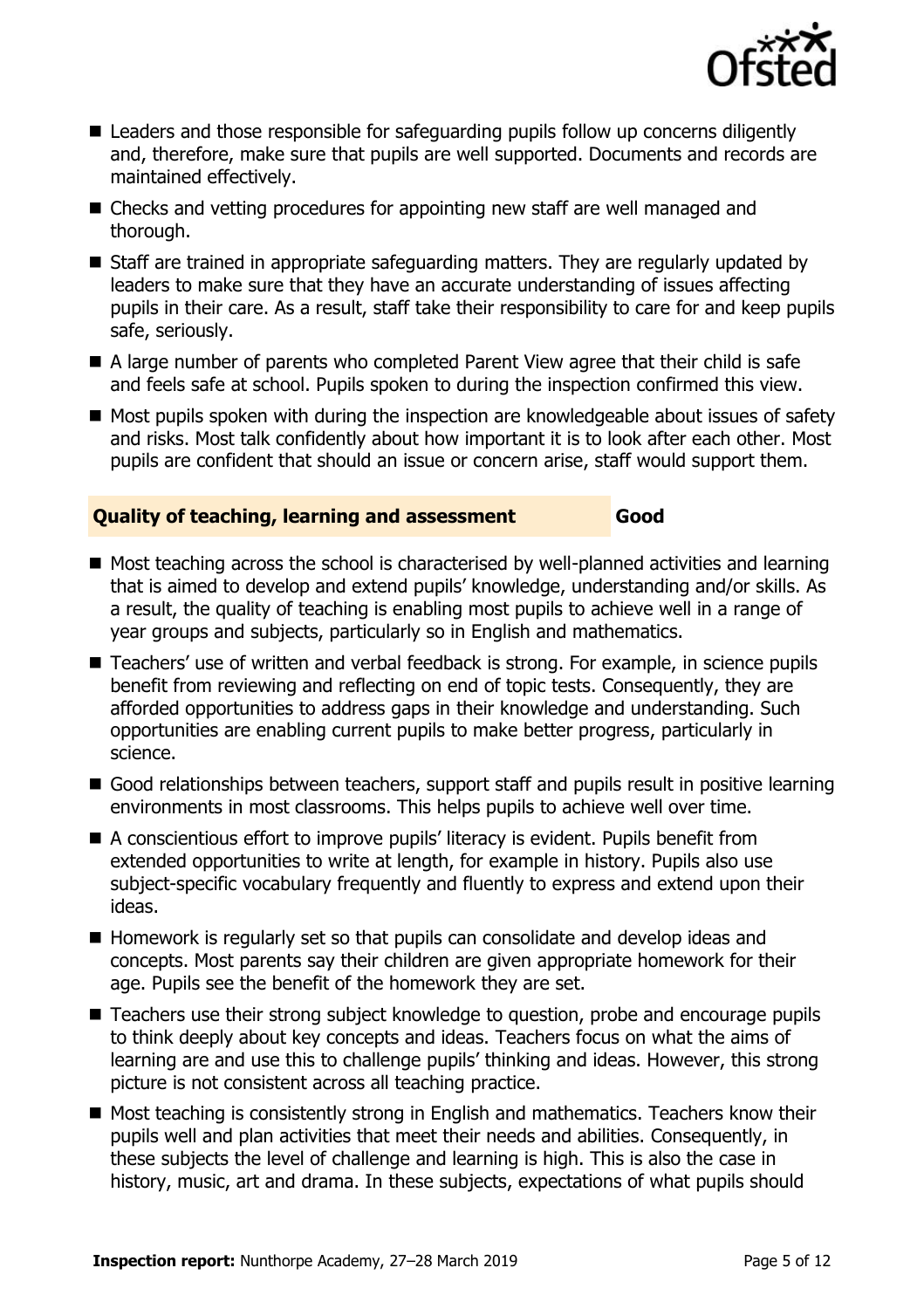

- Leaders and those responsible for safeguarding pupils follow up concerns diligently and, therefore, make sure that pupils are well supported. Documents and records are maintained effectively.
- Checks and vetting procedures for appointing new staff are well managed and thorough.
- Staff are trained in appropriate safeguarding matters. They are regularly updated by leaders to make sure that they have an accurate understanding of issues affecting pupils in their care. As a result, staff take their responsibility to care for and keep pupils safe, seriously.
- A large number of parents who completed Parent View agree that their child is safe and feels safe at school. Pupils spoken to during the inspection confirmed this view.
- Most pupils spoken with during the inspection are knowledgeable about issues of safety and risks. Most talk confidently about how important it is to look after each other. Most pupils are confident that should an issue or concern arise, staff would support them.

#### **Quality of teaching, learning and assessment Good**

- Most teaching across the school is characterised by well-planned activities and learning that is aimed to develop and extend pupils' knowledge, understanding and/or skills. As a result, the quality of teaching is enabling most pupils to achieve well in a range of year groups and subjects, particularly so in English and mathematics.
- Teachers' use of written and verbal feedback is strong. For example, in science pupils benefit from reviewing and reflecting on end of topic tests. Consequently, they are afforded opportunities to address gaps in their knowledge and understanding. Such opportunities are enabling current pupils to make better progress, particularly in science.
- Good relationships between teachers, support staff and pupils result in positive learning environments in most classrooms. This helps pupils to achieve well over time.
- A conscientious effort to improve pupils' literacy is evident. Pupils benefit from extended opportunities to write at length, for example in history. Pupils also use subject-specific vocabulary frequently and fluently to express and extend upon their ideas.
- Homework is regularly set so that pupils can consolidate and develop ideas and concepts. Most parents say their children are given appropriate homework for their age. Pupils see the benefit of the homework they are set.
- Teachers use their strong subject knowledge to question, probe and encourage pupils to think deeply about key concepts and ideas. Teachers focus on what the aims of learning are and use this to challenge pupils' thinking and ideas. However, this strong picture is not consistent across all teaching practice.
- Most teaching is consistently strong in English and mathematics. Teachers know their pupils well and plan activities that meet their needs and abilities. Consequently, in these subjects the level of challenge and learning is high. This is also the case in history, music, art and drama. In these subjects, expectations of what pupils should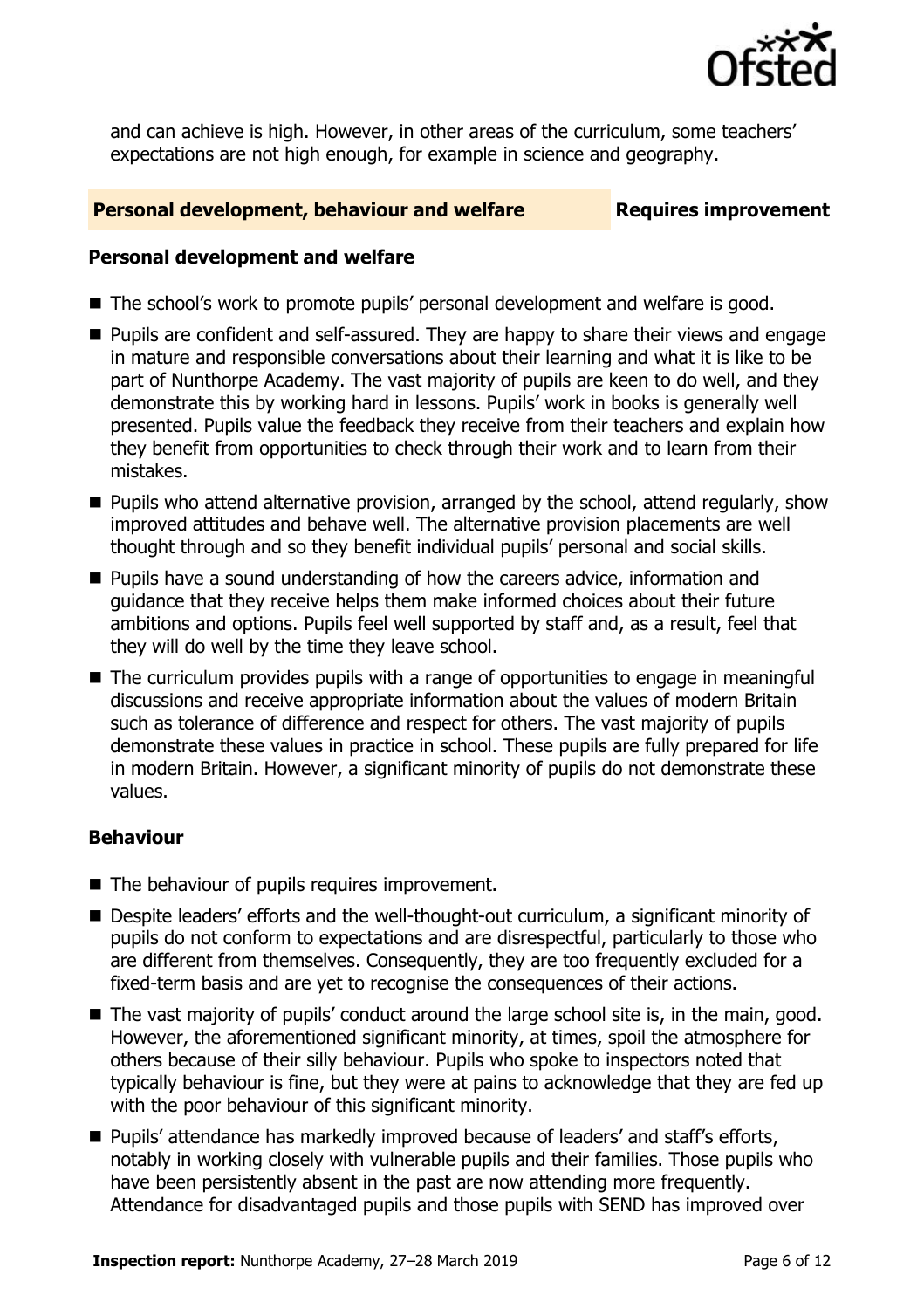

and can achieve is high. However, in other areas of the curriculum, some teachers' expectations are not high enough, for example in science and geography.

#### **Personal development, behaviour and welfare Fig. 2.1 Requires improvement**

#### **Personal development and welfare**

- The school's work to promote pupils' personal development and welfare is good.
- Pupils are confident and self-assured. They are happy to share their views and engage in mature and responsible conversations about their learning and what it is like to be part of Nunthorpe Academy. The vast majority of pupils are keen to do well, and they demonstrate this by working hard in lessons. Pupils' work in books is generally well presented. Pupils value the feedback they receive from their teachers and explain how they benefit from opportunities to check through their work and to learn from their mistakes.
- Pupils who attend alternative provision, arranged by the school, attend regularly, show improved attitudes and behave well. The alternative provision placements are well thought through and so they benefit individual pupils' personal and social skills.
- Pupils have a sound understanding of how the careers advice, information and guidance that they receive helps them make informed choices about their future ambitions and options. Pupils feel well supported by staff and, as a result, feel that they will do well by the time they leave school.
- The curriculum provides pupils with a range of opportunities to engage in meaningful discussions and receive appropriate information about the values of modern Britain such as tolerance of difference and respect for others. The vast majority of pupils demonstrate these values in practice in school. These pupils are fully prepared for life in modern Britain. However, a significant minority of pupils do not demonstrate these values.

### **Behaviour**

- The behaviour of pupils requires improvement.
- Despite leaders' efforts and the well-thought-out curriculum, a significant minority of pupils do not conform to expectations and are disrespectful, particularly to those who are different from themselves. Consequently, they are too frequently excluded for a fixed-term basis and are yet to recognise the consequences of their actions.
- The vast majority of pupils' conduct around the large school site is, in the main, good. However, the aforementioned significant minority, at times, spoil the atmosphere for others because of their silly behaviour. Pupils who spoke to inspectors noted that typically behaviour is fine, but they were at pains to acknowledge that they are fed up with the poor behaviour of this significant minority.
- Pupils' attendance has markedly improved because of leaders' and staff's efforts, notably in working closely with vulnerable pupils and their families. Those pupils who have been persistently absent in the past are now attending more frequently. Attendance for disadvantaged pupils and those pupils with SEND has improved over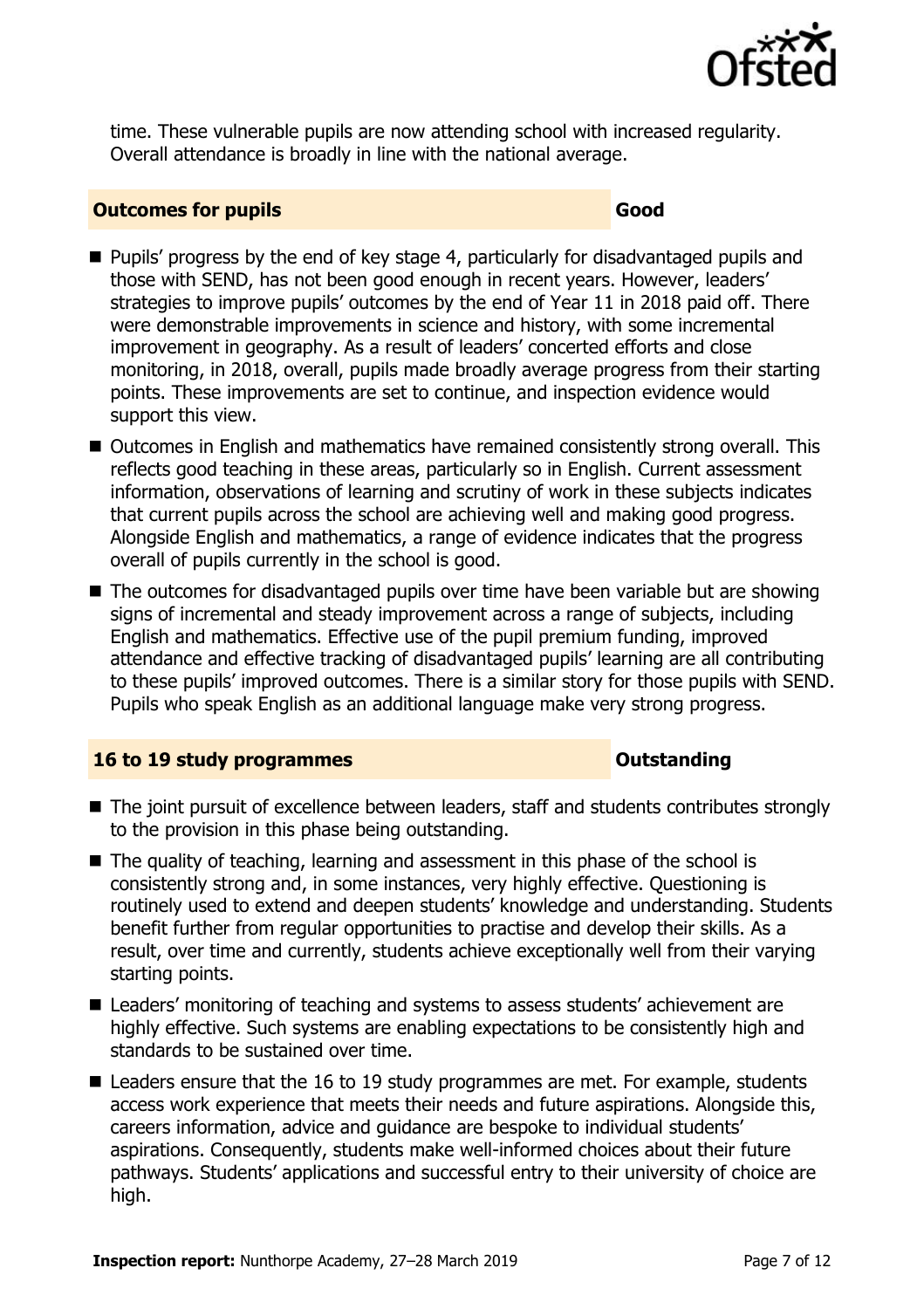

time. These vulnerable pupils are now attending school with increased regularity. Overall attendance is broadly in line with the national average.

#### **Outcomes for pupils Good**

- Pupils' progress by the end of key stage 4, particularly for disadvantaged pupils and those with SEND, has not been good enough in recent years. However, leaders' strategies to improve pupils' outcomes by the end of Year 11 in 2018 paid off. There were demonstrable improvements in science and history, with some incremental improvement in geography. As a result of leaders' concerted efforts and close monitoring, in 2018, overall, pupils made broadly average progress from their starting points. These improvements are set to continue, and inspection evidence would support this view.
- Outcomes in English and mathematics have remained consistently strong overall. This reflects good teaching in these areas, particularly so in English. Current assessment information, observations of learning and scrutiny of work in these subjects indicates that current pupils across the school are achieving well and making good progress. Alongside English and mathematics, a range of evidence indicates that the progress overall of pupils currently in the school is good.
- The outcomes for disadvantaged pupils over time have been variable but are showing signs of incremental and steady improvement across a range of subjects, including English and mathematics. Effective use of the pupil premium funding, improved attendance and effective tracking of disadvantaged pupils' learning are all contributing to these pupils' improved outcomes. There is a similar story for those pupils with SEND. Pupils who speak English as an additional language make very strong progress.

### **16 to 19 study programmes CONSTANDING CONSTANDING CONSTANDING CONSTANDING CONSTANDING CONSTANDING CONSTANDING CONSTANDING CONSTANDING CONSTANDING CONSTANDING CONSTANDING CONSTANDING CONSTANDING CONSTANDING CONSTANDING C**

- The joint pursuit of excellence between leaders, staff and students contributes strongly to the provision in this phase being outstanding.
- The quality of teaching, learning and assessment in this phase of the school is consistently strong and, in some instances, very highly effective. Questioning is routinely used to extend and deepen students' knowledge and understanding. Students benefit further from regular opportunities to practise and develop their skills. As a result, over time and currently, students achieve exceptionally well from their varying starting points.
- Leaders' monitoring of teaching and systems to assess students' achievement are highly effective. Such systems are enabling expectations to be consistently high and standards to be sustained over time.
- Leaders ensure that the 16 to 19 study programmes are met. For example, students access work experience that meets their needs and future aspirations. Alongside this, careers information, advice and guidance are bespoke to individual students' aspirations. Consequently, students make well-informed choices about their future pathways. Students' applications and successful entry to their university of choice are high.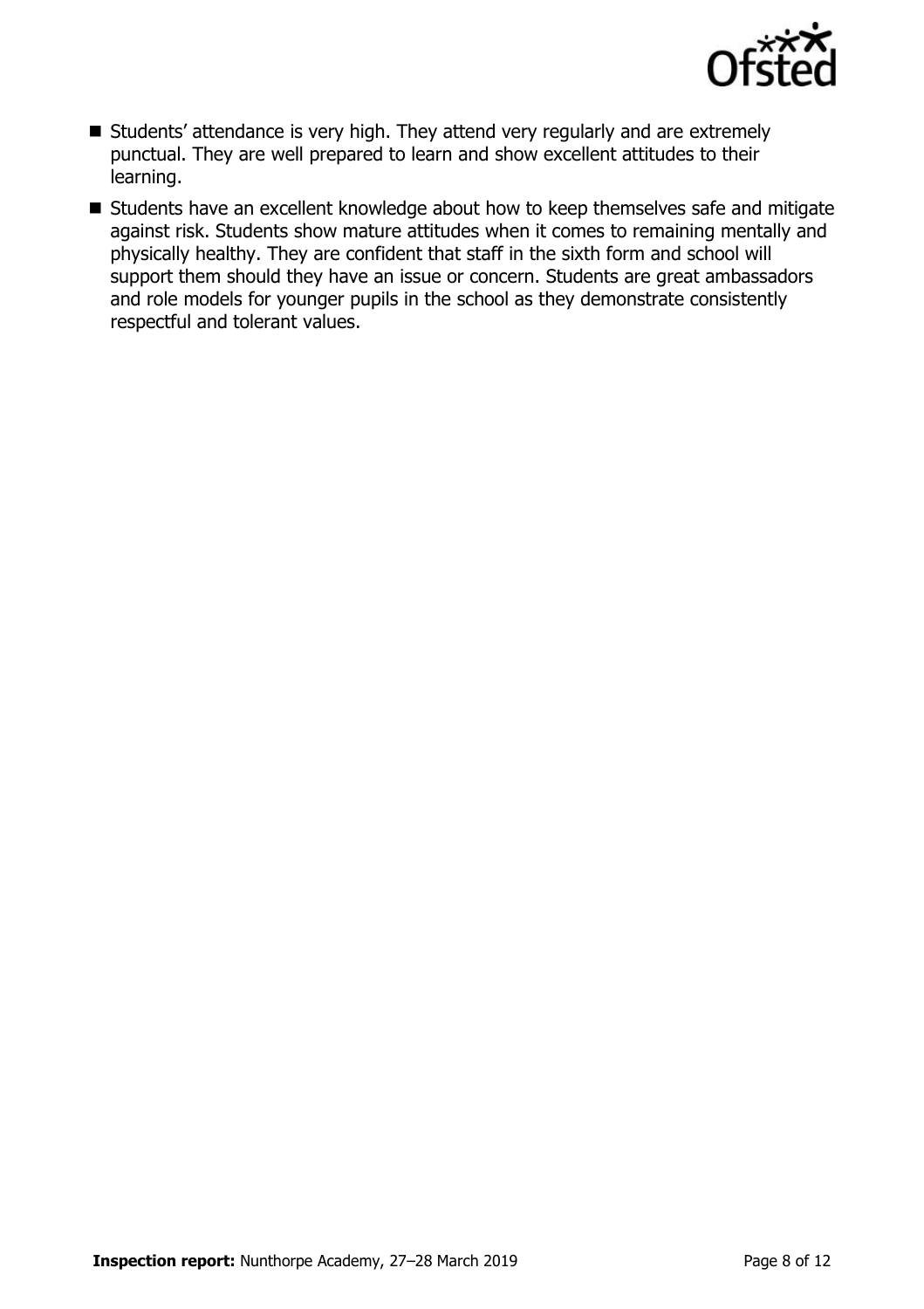

- Students' attendance is very high. They attend very regularly and are extremely punctual. They are well prepared to learn and show excellent attitudes to their learning.
- Students have an excellent knowledge about how to keep themselves safe and mitigate against risk. Students show mature attitudes when it comes to remaining mentally and physically healthy. They are confident that staff in the sixth form and school will support them should they have an issue or concern. Students are great ambassadors and role models for younger pupils in the school as they demonstrate consistently respectful and tolerant values.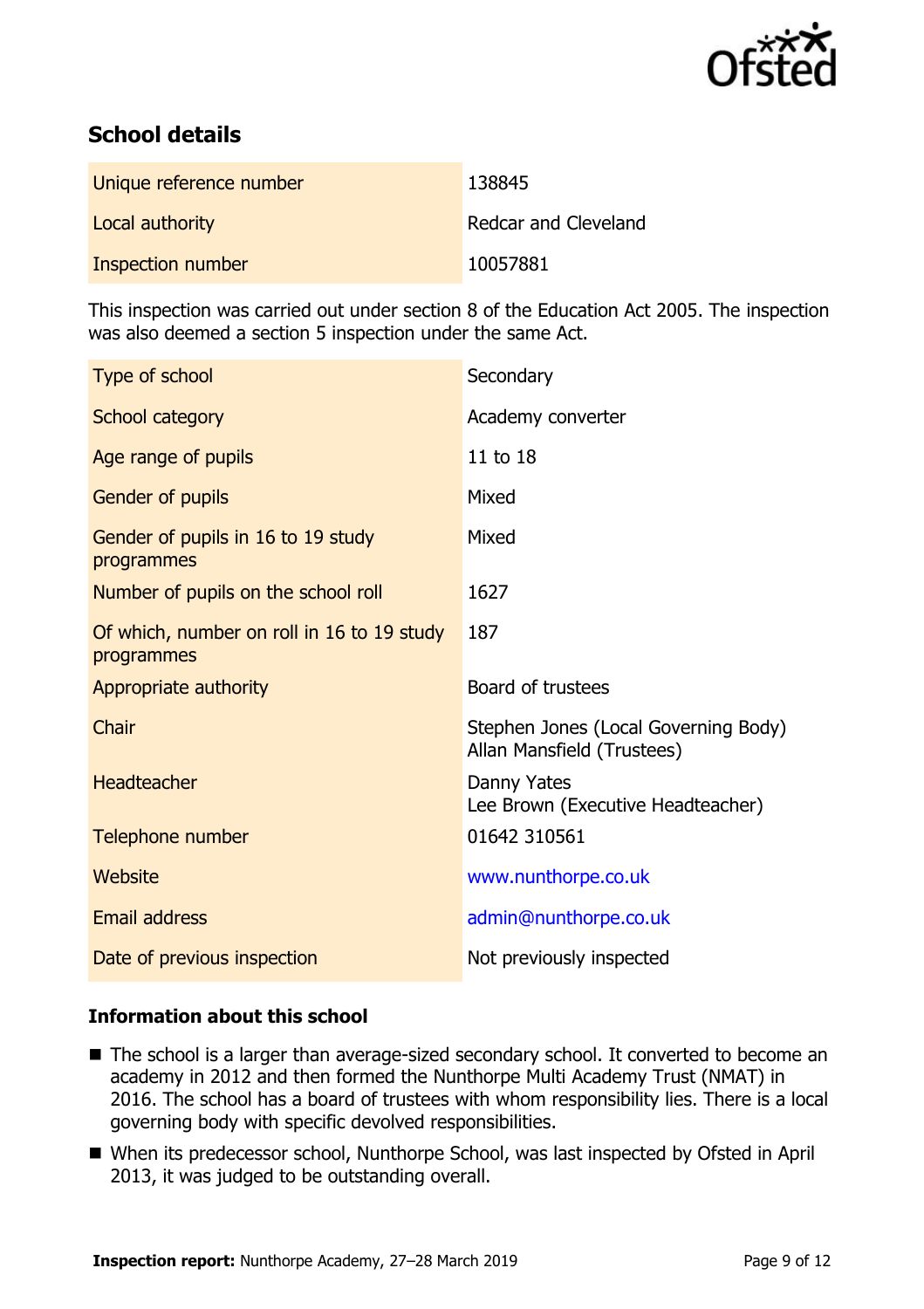

# **School details**

| Unique reference number | 138845                      |
|-------------------------|-----------------------------|
| Local authority         | <b>Redcar and Cleveland</b> |
| Inspection number       | 10057881                    |

This inspection was carried out under section 8 of the Education Act 2005. The inspection was also deemed a section 5 inspection under the same Act.

| Type of school                                           | Secondary                                                          |
|----------------------------------------------------------|--------------------------------------------------------------------|
| <b>School category</b>                                   | Academy converter                                                  |
| Age range of pupils                                      | 11 to 18                                                           |
| Gender of pupils                                         | Mixed                                                              |
| Gender of pupils in 16 to 19 study<br>programmes         | Mixed                                                              |
| Number of pupils on the school roll                      | 1627                                                               |
| Of which, number on roll in 16 to 19 study<br>programmes | 187                                                                |
| Appropriate authority                                    | Board of trustees                                                  |
| Chair                                                    | Stephen Jones (Local Governing Body)<br>Allan Mansfield (Trustees) |
| Headteacher                                              | Danny Yates<br>Lee Brown (Executive Headteacher)                   |
| Telephone number                                         | 01642 310561                                                       |
| Website                                                  | www.nunthorpe.co.uk                                                |
| <b>Email address</b>                                     | admin@nunthorpe.co.uk                                              |
|                                                          |                                                                    |

### **Information about this school**

- The school is a larger than average-sized secondary school. It converted to become an academy in 2012 and then formed the Nunthorpe Multi Academy Trust (NMAT) in 2016. The school has a board of trustees with whom responsibility lies. There is a local governing body with specific devolved responsibilities.
- When its predecessor school, Nunthorpe School, was last inspected by Ofsted in April 2013, it was judged to be outstanding overall.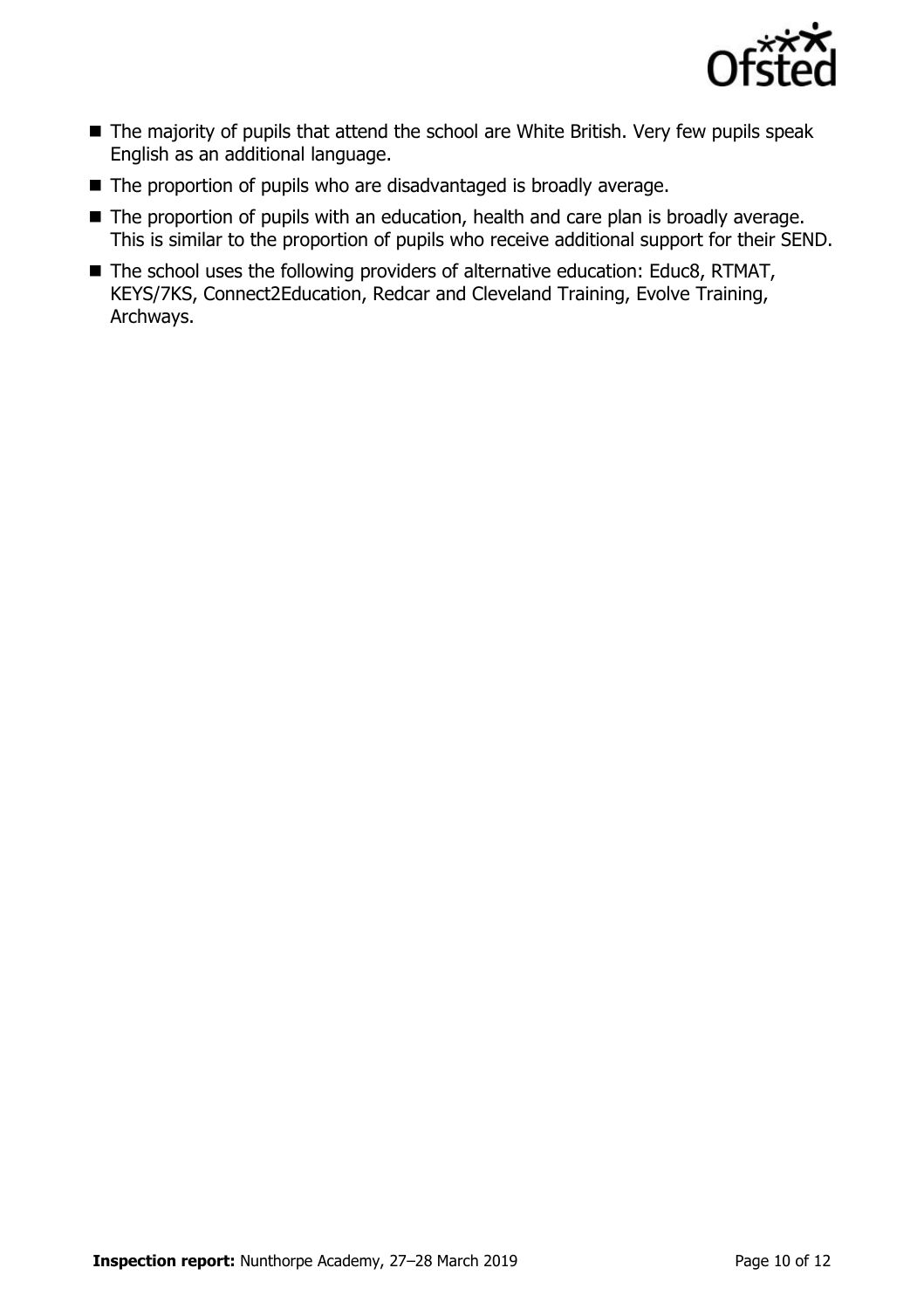

- The majority of pupils that attend the school are White British. Very few pupils speak English as an additional language.
- The proportion of pupils who are disadvantaged is broadly average.
- The proportion of pupils with an education, health and care plan is broadly average. This is similar to the proportion of pupils who receive additional support for their SEND.
- The school uses the following providers of alternative education: Educ8, RTMAT, KEYS/7KS, Connect2Education, Redcar and Cleveland Training, Evolve Training, Archways.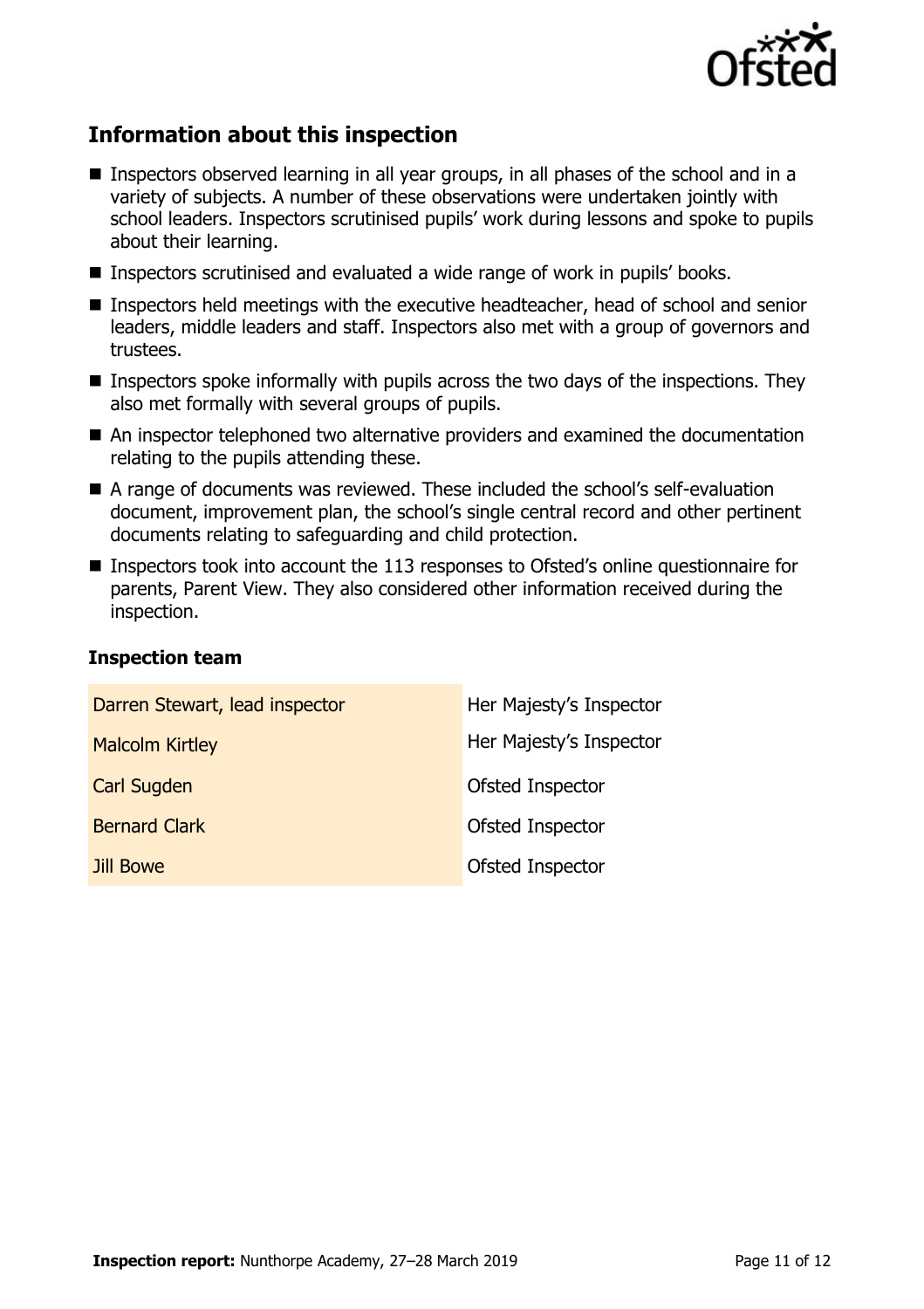

# **Information about this inspection**

- Inspectors observed learning in all year groups, in all phases of the school and in a variety of subjects. A number of these observations were undertaken jointly with school leaders. Inspectors scrutinised pupils' work during lessons and spoke to pupils about their learning.
- Inspectors scrutinised and evaluated a wide range of work in pupils' books.
- Inspectors held meetings with the executive headteacher, head of school and senior leaders, middle leaders and staff. Inspectors also met with a group of governors and trustees.
- $\blacksquare$  Inspectors spoke informally with pupils across the two days of the inspections. They also met formally with several groups of pupils.
- An inspector telephoned two alternative providers and examined the documentation relating to the pupils attending these.
- A range of documents was reviewed. These included the school's self-evaluation document, improvement plan, the school's single central record and other pertinent documents relating to safeguarding and child protection.
- Inspectors took into account the 113 responses to Ofsted's online questionnaire for parents, Parent View. They also considered other information received during the inspection.

#### **Inspection team**

| Darren Stewart, lead inspector | Her Majesty's Inspector |
|--------------------------------|-------------------------|
| <b>Malcolm Kirtley</b>         | Her Majesty's Inspector |
| <b>Carl Sugden</b>             | <b>Ofsted Inspector</b> |
| <b>Bernard Clark</b>           | <b>Ofsted Inspector</b> |
| Jill Bowe                      | Ofsted Inspector        |